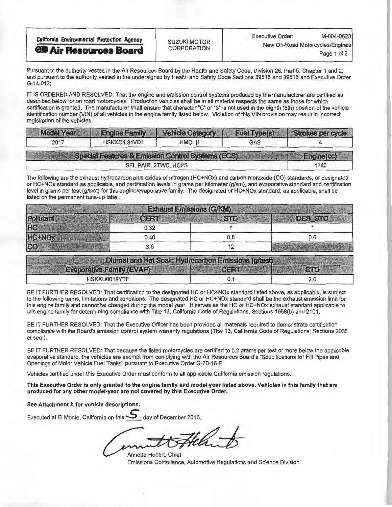| <b>California Environmental Protection Agency</b> | <b>SUZUKI MOTOR</b> | M-004-0623<br><b>Executive Order:</b> |              |  |
|---------------------------------------------------|---------------------|---------------------------------------|--------------|--|
| <b>OF Air Resources Board</b>                     | <b>CORPORATION</b>  | New On-Road Motorcycles/Engines       | Page 1 of 2, |  |
|                                                   |                     |                                       |              |  |

Pursuant to the authority vested in the Air Resources Board by the Health and Safety Code, Division 26, Part 5, Chapter 1 and 2; and pursuant to the authority vested in the undersigned by Health and Safety Code Sections 39515 and 39516 and Executive Order G-14-012;

IT IS ORDERED AND RESOLVED: That the engine and emission control systems produced by the manufacturer are certified as<br>described below for on road motorcycles. Production vehicles shall be in all material respects the same described below for on road motorcycles. Production vehicles shall be in all material respects the same as those for which certification is granted. The manufacturer shall ensure that character "C" or "3" is not used in the eighth (8th) position of the vehicle identification number (VIN) of all vehicles in the engine family listed below. Violation of this VIN provision may result in incorrect registration of the vehicles

| <b>Model Year</b> | <b>Engine Family</b>                               | <b>Vehicle Category</b> | <b>Fuel Type(s)</b> | Strokes per cycle |
|-------------------|----------------------------------------------------|-------------------------|---------------------|-------------------|
| 2017              | HSKXC1.34VD1                                       | $HMC-III$               | GAS                 |                   |
|                   | Special Features & Emission Control Systems (ECS). |                         |                     | Engine(cc)        |
|                   |                                                    | SFI, PAIR, 2TWC, HO2S   |                     | 1340              |

The following are the exhaust hydrocarbon plus oxides of nitrogen (HC+NOx) and carbon monoxide (CO) standards, or designated or HC+NOx standard as applicable, and certification levels in grams per kilometer (g/km), and evaporative standard and certification level in grams per test (g/test) for this engine/evaporative family. The designated or HC+NOx standard, as applicable, shall be listed on the permanent tune-up label.

| <b>STD</b> |                |
|------------|----------------|
|            | <b>DES STD</b> |
|            |                |
| 0.8        | 0.6            |
|            |                |
|            |                |

| Diumal and Hot Soak: Hydrocarbon Emissions (g/test) |             |            |
|-----------------------------------------------------|-------------|------------|
| <b>Evaporative Family (EVAP)</b>                    | <b>CERT</b> | <b>STD</b> |
| HSKXU0018YTF                                        |             |            |

BE IT FURTHER RESOLVED: That certification to the designated HC or HC+NOx standard listed above, as applicable, is subject<br>to the following terms, limitations and conditions. The designated HC or HC+NOx standard shall be t this engine family and cannot be changed during the model year. It serves as the HC or HC+NOx exhaust standard applicable to this engine family and cannot be changed during the model year. It serves as the HC or HC+NOx exhaust standard applicable to this engine family for determining compliance with Title 13, California Code of Regulations, Sections 1958(b) and 2101.

BE IT FURTHER RESOLVED: That the Executive Officer has been provided all materials required to demonstrate certification compliance with the Board's emission control system warranty regulations (Title 13, California Code of Regulations, Sections 2035 et seq.).

BE IT FURTHER RESOLVED: That because the listed motorcycles are certified to 0.2 grams per test or more below the applicable evaporative standard, the vehicles are exempt from complying with the Air Resources Board's "Specifications for Fill Pipes and Openings of Motor Vehicle Fuel Tanks" pursuant to Executive Order G-70-16-E

Vehicles certified under this Executive Order must conform to all applicable California emission regulations.

This Executive Order is only granted to the engine family and model-year listed above. Vehicles in this family that are produced for any other model-year are not covered by this Executive Order.

See Attachment A for vehicle descriptions.

Executed at El Monte, California on this 5 day of December 2016.

Annette Hebert, Chief Emissions Compliance, Automotive Regulations and Science Division